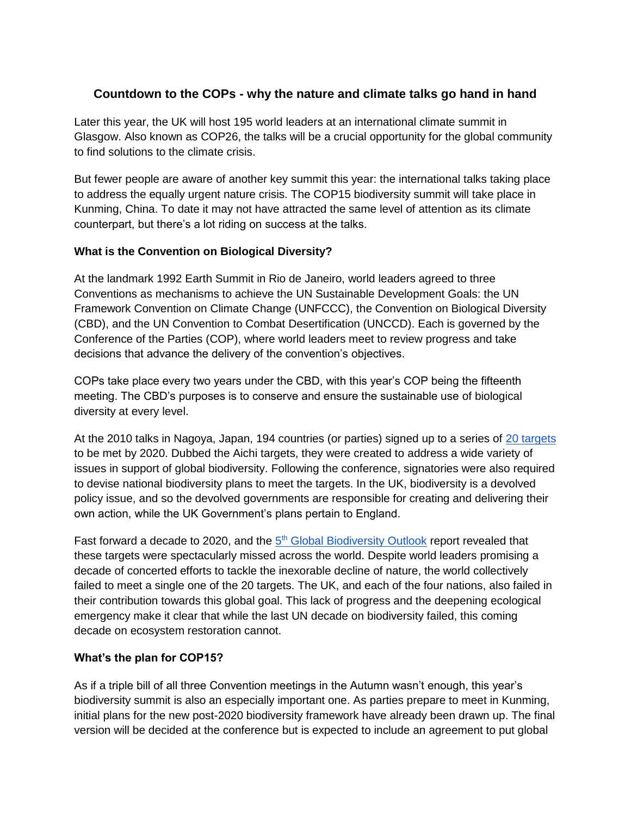## **Countdown to the COPs - why the nature and climate talks go hand in hand**

Later this year, the UK will host 195 world leaders at an international climate summit in Glasgow. Also known as COP26, the talks will be a crucial opportunity for the global community to find solutions to the climate crisis.

But fewer people are aware of another key summit this year: the international talks taking place to address the equally urgent nature crisis. The COP15 biodiversity summit will take place in Kunming, China. To date it may not have attracted the same level of attention as its climate counterpart, but there's a lot riding on success at the talks.

## **What is the Convention on Biological Diversity?**

At the landmark 1992 Earth Summit in Rio de Janeiro, world leaders agreed to three Conventions as mechanisms to achieve the UN Sustainable Development Goals: the UN Framework Convention on Climate Change (UNFCCC), the Convention on Biological Diversity (CBD), and the UN Convention to Combat Desertification (UNCCD). Each is governed by the Conference of the Parties (COP), where world leaders meet to review progress and take decisions that advance the delivery of the convention's objectives.

COPs take place every two years under the CBD, with this year's COP being the fifteenth meeting. The CBD's purposes is to conserve and ensure the sustainable use of biological diversity at every level.

At the 2010 talks in Nagoya, Japan, 194 countries (or parties) signed up to a series of [20 targets](https://www.cbd.int/sp/targets/) to be met by 2020. Dubbed the Aichi targets, they were created to address a wide variety of issues in support of global biodiversity. Following the conference, signatories were also required to devise national biodiversity plans to meet the targets. In the UK, biodiversity is a devolved policy issue, and so the devolved governments are responsible for creating and delivering their own action, while the UK Government's plans pertain to England.

Fast forward a d[e](https://www.cbd.int/gbo/#:~:text=Global%20Biodiversity%20Outlook%20(GBO)%20provides%20a%20summary%20of,the%20use%20of%20genetic%20resources%20are%20shared%20equitably.)cade to 2020, and the [5](https://www.cbd.int/gbo/#:~:text=Global%20Biodiversity%20Outlook%20(GBO)%20provides%20a%20summary%20of,the%20use%20of%20genetic%20resources%20are%20shared%20equitably.)<sup>[th](https://www.cbd.int/gbo/#:~:text=Global%20Biodiversity%20Outlook%20(GBO)%20provides%20a%20summary%20of,the%20use%20of%20genetic%20resources%20are%20shared%20equitably.)</sup> [Global Biodiversity Outlook](https://www.cbd.int/gbo/#:~:text=Global%20Biodiversity%20Outlook%20(GBO)%20provides%20a%20summary%20of,the%20use%20of%20genetic%20resources%20are%20shared%20equitably.) report revealed that these targets were spectacularly missed across the world. Despite world leaders promising a decade of concerted efforts to tackle the inexorable decline of nature, the world collectively failed to meet a single one of the 20 targets. The UK, and each of the four nations, also failed in their contribution towards this global goal. This lack of progress and the deepening ecological emergency make it clear that while the last UN decade on biodiversity failed, this coming decade on ecosystem restoration cannot.

## **What's the plan for COP15?**

As if a triple bill of all three Convention meetings in the Autumn wasn't enough, this year's biodiversity summit is also an especially important one. As parties prepare to meet in Kunming, initial plans for the new post-2020 biodiversity framework have already been drawn up. The final version will be decided at the conference but is expected to include an agreement to put global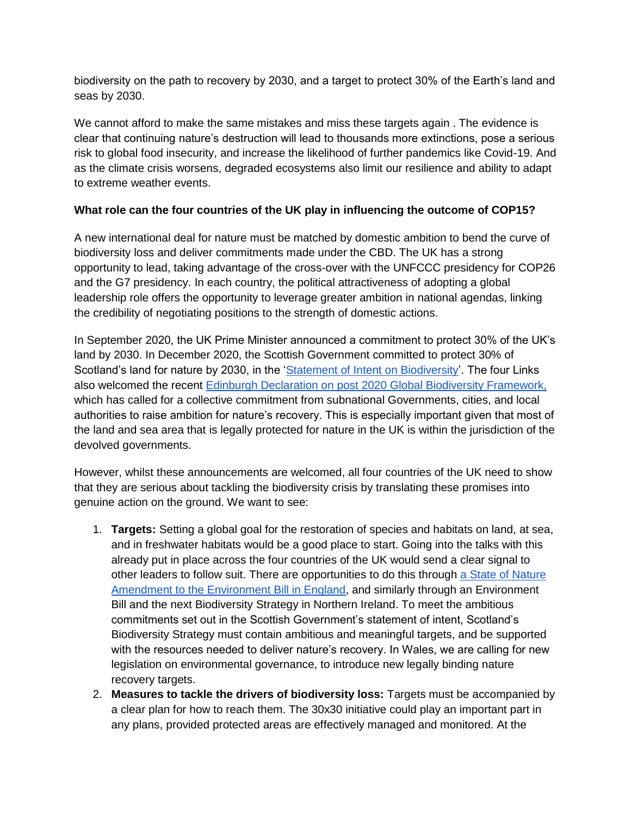biodiversity on the path to recovery by 2030, and a target to protect 30% of the Earth's land and seas by 2030.

We cannot afford to make the same mistakes and miss these targets again. The evidence is clear that continuing nature's destruction will lead to thousands more extinctions, pose a serious risk to global food insecurity, and increase the likelihood of further pandemics like Covid-19. And as the climate crisis worsens, degraded ecosystems also limit our resilience and ability to adapt to extreme weather events.

## **What role can the four countries of the UK play in influencing the outcome of COP15?**

A new international deal for nature must be matched by domestic ambition to bend the curve of biodiversity loss and deliver commitments made under the CBD. The UK has a strong opportunity to lead, taking advantage of the cross-over with the UNFCCC presidency for COP26 and the G7 presidency. In each country, the political attractiveness of adopting a global leadership role offers the opportunity to leverage greater ambition in national agendas, linking the credibility of negotiating positions to the strength of domestic actions.

In September 2020, the UK Prime Minister announced a commitment to protect 30% of the UK's land by 2030. In December 2020, the Scottish Government committed to protect 30% of Scotland's land for nature by 2030, in the ['Statement of Intent on Biodiversity'](https://www.gov.scot/publications/scottish-biodiversity-strategy-post-2020-statement-intent/). The four Links also welcomed the recent [Edinburgh Declaration on post 2020 Global Biodiversity Framework,](https://www.gov.scot/publications/edinburgh-declaration-on-post-2020-biodiversity-framework/) which has called for a collective commitment from subnational Governments, cities, and local authorities to raise ambition for nature's recovery. This is especially important given that most of the land and sea area that is legally protected for nature in the UK is within the jurisdiction of the devolved governments.

However, whilst these announcements are welcomed, all four countries of the UK need to show that they are serious about tackling the biodiversity crisis by translating these promises into genuine action on the ground. We want to see:

- 1. **Targets:** Setting a global goal for the restoration of species and habitats on land, at sea, and in freshwater habitats would be a good place to start. Going into the talks with this already put in place across the four countries of the UK would send a clear signal to other leaders to follow suit. There are opportunities to do this through [a State of Nature](https://e-activist.com/page/76784/petition/1?ea.tracking.id=WCL)  [Amendment to the Environment Bill in England,](https://e-activist.com/page/76784/petition/1?ea.tracking.id=WCL) and similarly through an Environment Bill and the next Biodiversity Strategy in Northern Ireland. To meet the ambitious commitments set out in the Scottish Government's statement of intent, Scotland's Biodiversity Strategy must contain ambitious and meaningful targets, and be supported with the resources needed to deliver nature's recovery. In Wales, we are calling for new legislation on environmental governance, to introduce new legally binding nature recovery targets.
- 2. **Measures to tackle the drivers of biodiversity loss:** Targets must be accompanied by a clear plan for how to reach them. The 30x30 initiative could play an important part in any plans, provided protected areas are effectively managed and monitored. At the